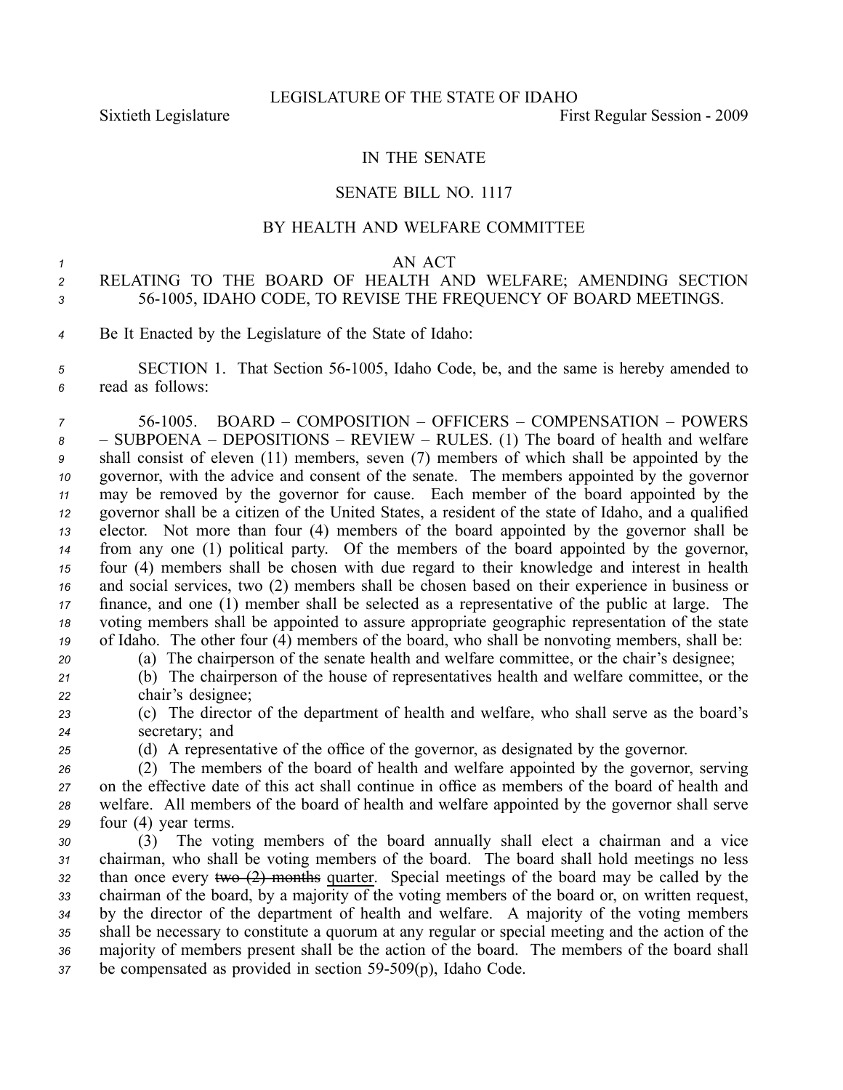### IN THE SENATE

#### SENATE BILL NO. 1117

## BY HEALTH AND WELFARE COMMITTEE

#### *<sup>1</sup>* AN ACT

# *<sup>2</sup>* RELATING TO THE BOARD OF HEALTH AND WELFARE; AMENDING SECTION *<sup>3</sup>* 561005, IDAHO CODE, TO REVISE THE FREQUENCY OF BOARD MEETINGS.

*<sup>4</sup>* Be It Enacted by the Legislature of the State of Idaho:

*<sup>5</sup>* SECTION 1. That Section 561005, Idaho Code, be, and the same is hereby amended to *<sup>6</sup>* read as follows:

 561005. BOARD – COMPOSITION – OFFICERS – COMPENSATION – POWERS – SUBPOENA – DEPOSITIONS – REVIEW – RULES. (1) The board of health and welfare shall consist of eleven (11) members, seven (7) members of which shall be appointed by the governor, with the advice and consent of the senate. The members appointed by the governor may be removed by the governor for cause. Each member of the board appointed by the governor shall be <sup>a</sup> citizen of the United States, <sup>a</sup> resident of the state of Idaho, and <sup>a</sup> qualified elector. Not more than four (4) members of the board appointed by the governor shall be from any one (1) political party. Of the members of the board appointed by the governor, four (4) members shall be chosen with due regard to their knowledge and interest in health and social services, two (2) members shall be chosen based on their experience in business or finance, and one (1) member shall be selected as <sup>a</sup> representative of the public at large. The voting members shall be appointed to assure appropriate geographic representation of the state of Idaho. The other four (4) members of the board, who shall be nonvoting members, shall be:

*<sup>20</sup>* (a) The chairperson of the senate health and welfare committee, or the chair's designee;

*<sup>21</sup>* (b) The chairperson of the house of representatives health and welfare committee, or the *<sup>22</sup>* chair's designee;

*<sup>23</sup>* (c) The director of the department of health and welfare, who shall serve as the board's *<sup>24</sup>* secretary; and

*<sup>25</sup>* (d) A representative of the office of the governor, as designated by the governor.

 (2) The members of the board of health and welfare appointed by the governor, serving on the effective date of this act shall continue in office as members of the board of health and welfare. All members of the board of health and welfare appointed by the governor shall serve four (4) year terms.

 (3) The voting members of the board annually shall elect <sup>a</sup> chairman and <sup>a</sup> vice chairman, who shall be voting members of the board. The board shall hold meetings no less than once every two (2) months quarter. Special meetings of the board may be called by the chairman of the board, by <sup>a</sup> majority of the voting members of the board or, on written request, by the director of the department of health and welfare. A majority of the voting members shall be necessary to constitute <sup>a</sup> quorum at any regular or special meeting and the action of the majority of members presen<sup>t</sup> shall be the action of the board. The members of the board shall 37 be compensated as provided in section 59-509(p), Idaho Code.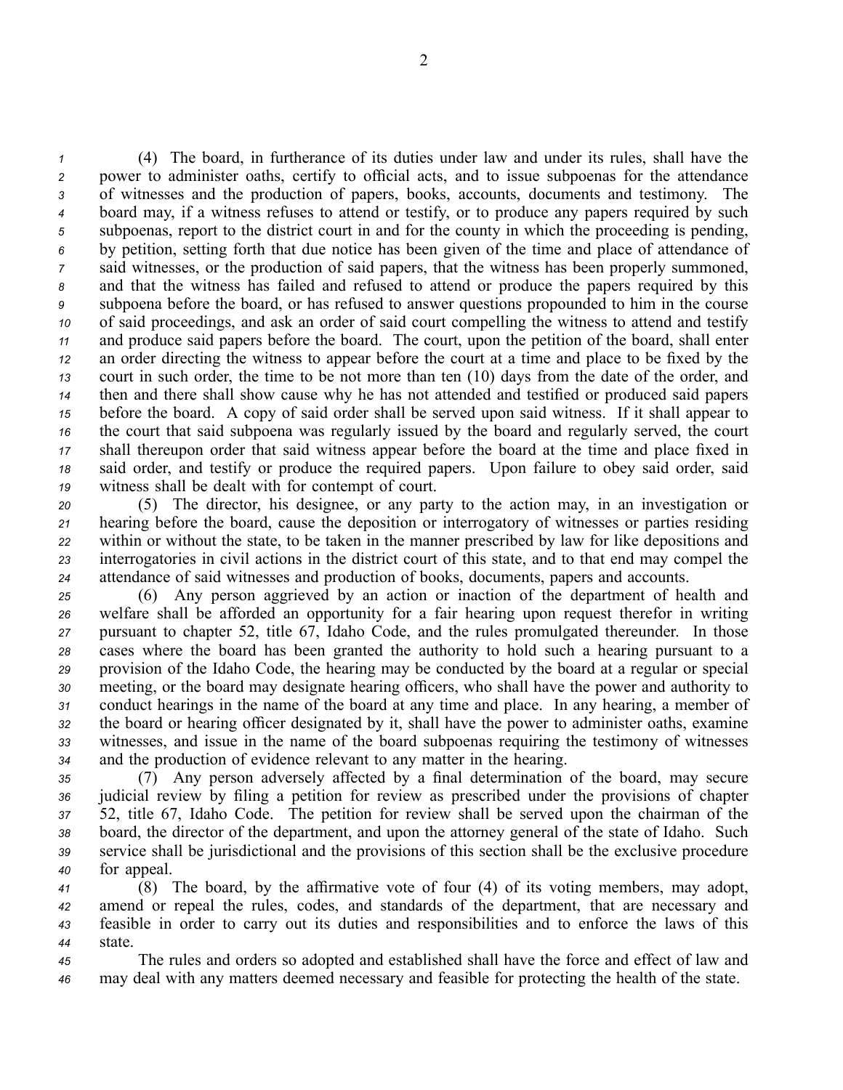(4) The board, in furtherance of its duties under law and under its rules, shall have the power to administer oaths, certify to official acts, and to issue subpoenas for the attendance of witnesses and the production of papers, books, accounts, documents and testimony. The board may, if <sup>a</sup> witness refuses to attend or testify, or to produce any papers required by such subpoenas, repor<sup>t</sup> to the district court in and for the county in which the proceeding is pending, by petition, setting forth that due notice has been given of the time and place of attendance of said witnesses, or the production of said papers, that the witness has been properly summoned, and that the witness has failed and refused to attend or produce the papers required by this subpoena before the board, or has refused to answer questions propounded to him in the course of said proceedings, and ask an order of said court compelling the witness to attend and testify and produce said papers before the board. The court, upon the petition of the board, shall enter an order directing the witness to appear before the court at <sup>a</sup> time and place to be fixed by the court in such order, the time to be not more than ten (10) days from the date of the order, and then and there shall show cause why he has not attended and testified or produced said papers before the board. A copy of said order shall be served upon said witness. If it shall appear to the court that said subpoena was regularly issued by the board and regularly served, the court shall thereupon order that said witness appear before the board at the time and place fixed in said order, and testify or produce the required papers. Upon failure to obey said order, said witness shall be dealt with for contempt of court.

 (5) The director, his designee, or any party to the action may, in an investigation or hearing before the board, cause the deposition or interrogatory of witnesses or parties residing within or without the state, to be taken in the manner prescribed by law for like depositions and interrogatories in civil actions in the district court of this state, and to that end may compel the attendance of said witnesses and production of books, documents, papers and accounts.

 (6) Any person aggrieved by an action or inaction of the department of health and welfare shall be afforded an opportunity for <sup>a</sup> fair hearing upon reques<sup>t</sup> therefor in writing pursuan<sup>t</sup> to chapter 52, title 67, Idaho Code, and the rules promulgated thereunder. In those cases where the board has been granted the authority to hold such <sup>a</sup> hearing pursuan<sup>t</sup> to <sup>a</sup> provision of the Idaho Code, the hearing may be conducted by the board at <sup>a</sup> regular or special meeting, or the board may designate hearing officers, who shall have the power and authority to conduct hearings in the name of the board at any time and place. In any hearing, <sup>a</sup> member of the board or hearing officer designated by it, shall have the power to administer oaths, examine witnesses, and issue in the name of the board subpoenas requiring the testimony of witnesses and the production of evidence relevant to any matter in the hearing.

 (7) Any person adversely affected by <sup>a</sup> final determination of the board, may secure judicial review by filing <sup>a</sup> petition for review as prescribed under the provisions of chapter 52, title 67, Idaho Code. The petition for review shall be served upon the chairman of the board, the director of the department, and upon the attorney general of the state of Idaho. Such service shall be jurisdictional and the provisions of this section shall be the exclusive procedure for appeal.

 (8) The board, by the affirmative vote of four (4) of its voting members, may adopt, amend or repeal the rules, codes, and standards of the department, that are necessary and feasible in order to carry out its duties and responsibilities and to enforce the laws of this *44* state.

*<sup>45</sup>* The rules and orders so adopted and established shall have the force and effect of law and *<sup>46</sup>* may deal with any matters deemed necessary and feasible for protecting the health of the state.